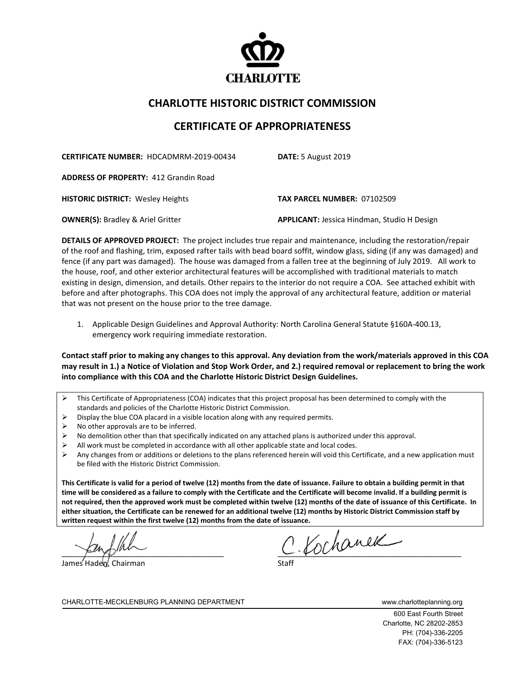

## **CHARLOTTE HISTORIC DISTRICT COMMISSION**

## **CERTIFICATE OF APPROPRIATENESS**

**CERTIFICATE NUMBER:** HDCADMRM-2019-00434 **DATE:** 5 August 2019

**ADDRESS OF PROPERTY:** 412 Grandin Road

**HISTORIC DISTRICT:** Wesley Heights **TAX PARCEL NUMBER:** 07102509

**OWNER(S):** Bradley & Ariel Gritter **ACCO APPLICANT:** Jessica Hindman, Studio H Design

**DETAILS OF APPROVED PROJECT:** The project includes true repair and maintenance, including the restoration/repair of the roof and flashing, trim, exposed rafter tails with bead board soffit, window glass, siding (if any was damaged) and fence (if any part was damaged). The house was damaged from a fallen tree at the beginning of July 2019. All work to the house, roof, and other exterior architectural features will be accomplished with traditional materials to match existing in design, dimension, and details. Other repairs to the interior do not require a COA. See attached exhibit with before and after photographs. This COA does not imply the approval of any architectural feature, addition or material that was not present on the house prior to the tree damage.

1. Applicable Design Guidelines and Approval Authority: North Carolina General Statute §160A-400.13, emergency work requiring immediate restoration.

**Contact staff prior to making any changes to this approval. Any deviation from the work/materials approved in this COA may result in 1.) a Notice of Violation and Stop Work Order, and 2.) required removal or replacement to bring the work into compliance with this COA and the Charlotte Historic District Design Guidelines.**

- $\triangleright$  This Certificate of Appropriateness (COA) indicates that this project proposal has been determined to comply with the standards and policies of the Charlotte Historic District Commission.
- Display the blue COA placard in a visible location along with any required permits.
- $\triangleright$  No other approvals are to be inferred.
- $\triangleright$  No demolition other than that specifically indicated on any attached plans is authorized under this approval.
- $\triangleright$  All work must be completed in accordance with all other applicable state and local codes.
- $\triangleright$  Any changes from or additions or deletions to the plans referenced herein will void this Certificate, and a new application must be filed with the Historic District Commission.

**This Certificate is valid for a period of twelve (12) months from the date of issuance. Failure to obtain a building permit in that time will be considered as a failure to comply with the Certificate and the Certificate will become invalid. If a building permit is not required, then the approved work must be completed within twelve (12) months of the date of issuance of this Certificate. In either situation, the Certificate can be renewed for an additional twelve (12) months by Historic District Commission staff by written request within the first twelve (12) months from the date of issuance.** 

James Haden, Chairman

 $2.$  Kochanek

CHARLOTTE-MECKLENBURG PLANNING DEPARTMENT WWW.charlotteplanning.org

600 East Fourth Street Charlotte, NC 28202-2853 PH: (704)-336-2205 FAX: (704)-336-5123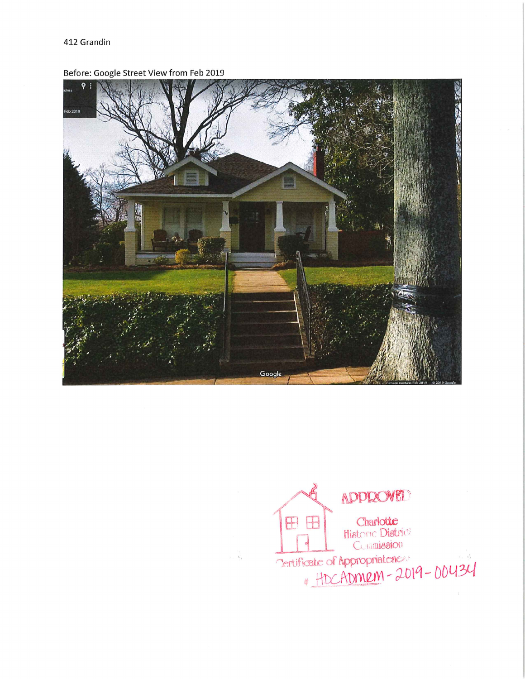Before: Google Street View from Feb 2019



 $\overline{u}$ ,  $\overline{v}$ ,